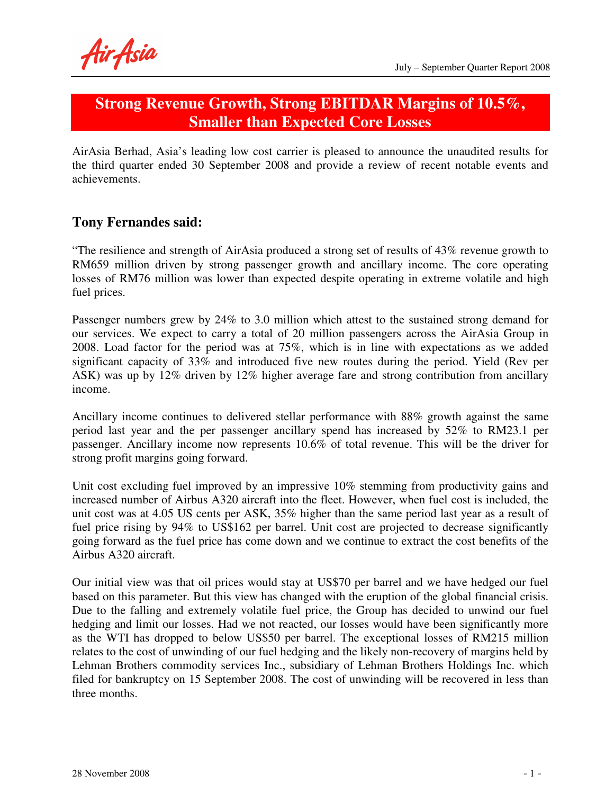Air Asia

## **Strong Revenue Growth, Strong EBITDAR Margins of 10.5%, Smaller than Expected Core Losses**

AirAsia Berhad, Asia's leading low cost carrier is pleased to announce the unaudited results for the third quarter ended 30 September 2008 and provide a review of recent notable events and achievements.

### **Tony Fernandes said:**

"The resilience and strength of AirAsia produced a strong set of results of 43% revenue growth to RM659 million driven by strong passenger growth and ancillary income. The core operating losses of RM76 million was lower than expected despite operating in extreme volatile and high fuel prices.

Passenger numbers grew by 24% to 3.0 million which attest to the sustained strong demand for our services. We expect to carry a total of 20 million passengers across the AirAsia Group in 2008. Load factor for the period was at 75%, which is in line with expectations as we added significant capacity of 33% and introduced five new routes during the period. Yield (Rev per ASK) was up by 12% driven by 12% higher average fare and strong contribution from ancillary income.

Ancillary income continues to delivered stellar performance with 88% growth against the same period last year and the per passenger ancillary spend has increased by 52% to RM23.1 per passenger. Ancillary income now represents 10.6% of total revenue. This will be the driver for strong profit margins going forward.

Unit cost excluding fuel improved by an impressive 10% stemming from productivity gains and increased number of Airbus A320 aircraft into the fleet. However, when fuel cost is included, the unit cost was at 4.05 US cents per ASK, 35% higher than the same period last year as a result of fuel price rising by 94% to US\$162 per barrel. Unit cost are projected to decrease significantly going forward as the fuel price has come down and we continue to extract the cost benefits of the Airbus A320 aircraft.

Our initial view was that oil prices would stay at US\$70 per barrel and we have hedged our fuel based on this parameter. But this view has changed with the eruption of the global financial crisis. Due to the falling and extremely volatile fuel price, the Group has decided to unwind our fuel hedging and limit our losses. Had we not reacted, our losses would have been significantly more as the WTI has dropped to below US\$50 per barrel. The exceptional losses of RM215 million relates to the cost of unwinding of our fuel hedging and the likely non-recovery of margins held by Lehman Brothers commodity services Inc., subsidiary of Lehman Brothers Holdings Inc. which filed for bankruptcy on 15 September 2008. The cost of unwinding will be recovered in less than three months.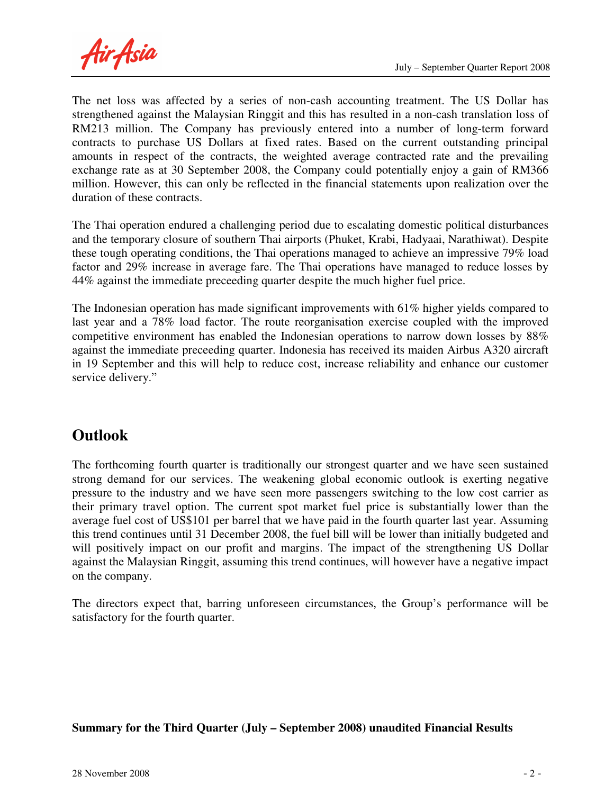Air Asia

The net loss was affected by a series of non-cash accounting treatment. The US Dollar has strengthened against the Malaysian Ringgit and this has resulted in a non-cash translation loss of RM213 million. The Company has previously entered into a number of long-term forward contracts to purchase US Dollars at fixed rates. Based on the current outstanding principal amounts in respect of the contracts, the weighted average contracted rate and the prevailing exchange rate as at 30 September 2008, the Company could potentially enjoy a gain of RM366 million. However, this can only be reflected in the financial statements upon realization over the duration of these contracts.

The Thai operation endured a challenging period due to escalating domestic political disturbances and the temporary closure of southern Thai airports (Phuket, Krabi, Hadyaai, Narathiwat). Despite these tough operating conditions, the Thai operations managed to achieve an impressive 79% load factor and 29% increase in average fare. The Thai operations have managed to reduce losses by 44% against the immediate preceeding quarter despite the much higher fuel price.

The Indonesian operation has made significant improvements with 61% higher yields compared to last year and a 78% load factor. The route reorganisation exercise coupled with the improved competitive environment has enabled the Indonesian operations to narrow down losses by 88% against the immediate preceeding quarter. Indonesia has received its maiden Airbus A320 aircraft in 19 September and this will help to reduce cost, increase reliability and enhance our customer service delivery."

# **Outlook**

The forthcoming fourth quarter is traditionally our strongest quarter and we have seen sustained strong demand for our services. The weakening global economic outlook is exerting negative pressure to the industry and we have seen more passengers switching to the low cost carrier as their primary travel option. The current spot market fuel price is substantially lower than the average fuel cost of US\$101 per barrel that we have paid in the fourth quarter last year. Assuming this trend continues until 31 December 2008, the fuel bill will be lower than initially budgeted and will positively impact on our profit and margins. The impact of the strengthening US Dollar against the Malaysian Ringgit, assuming this trend continues, will however have a negative impact on the company.

The directors expect that, barring unforeseen circumstances, the Group's performance will be satisfactory for the fourth quarter.

#### **Summary for the Third Quarter (July – September 2008) unaudited Financial Results**